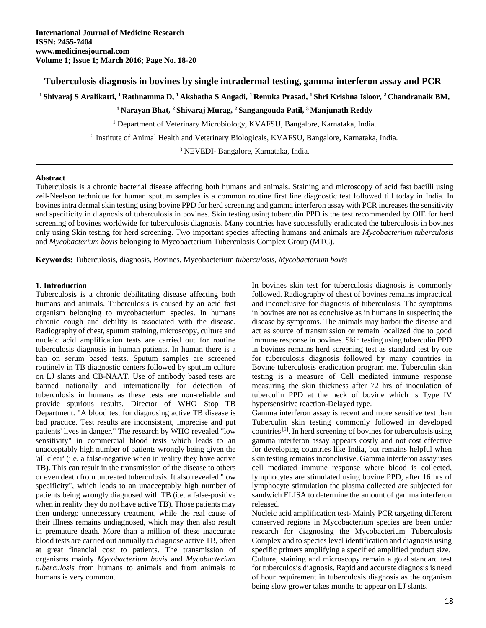# **Tuberculosis diagnosis in bovines by single intradermal testing, gamma interferon assay and PCR**

**1 Shivaraj S Aralikatti, 1 Rathnamma D, 1 Akshatha S Angadi, 1 Renuka Prasad, 1 Shri Krishna Isloor, 2 Chandranaik BM,** 

**1 Narayan Bhat, 2 Shivaraj Murag, 2 Sangangouda Patil, 3 Manjunath Reddy** 

<sup>1</sup> Department of Veterinary Microbiology, KVAFSU, Bangalore, Karnataka, India.

2 Institute of Animal Health and Veterinary Biologicals, KVAFSU, Bangalore, Karnataka, India.

3 NEVEDI- Bangalore, Karnataka, India.

### **Abstract**

Tuberculosis is a chronic bacterial disease affecting both humans and animals. Staining and microscopy of acid fast bacilli using zeil-Neelson technique for human sputum samples is a common routine first line diagnostic test followed till today in India. In bovines intra dermal skin testing using bovine PPD for herd screening and gamma interferon assay with PCR increases the sensitivity and specificity in diagnosis of tuberculosis in bovines. Skin testing using tuberculin PPD is the test recommended by OIE for herd screening of bovines worldwide for tuberculosis diagnosis. Many countries have successfully eradicated the tuberculosis in bovines only using Skin testing for herd screening. Two important species affecting humans and animals are *Mycobacterium tuberculosis* and *Mycobacterium bovis* belonging to Mycobacterium Tuberculosis Complex Group (MTC).

**Keywords:** Tuberculosis, diagnosis, Bovines, Mycobacterium *tuberculosis, Mycobacterium bovis*

### **1. Introduction**

Tuberculosis is a chronic debilitating disease affecting both humans and animals. Tuberculosis is caused by an acid fast organism belonging to mycobacterium species. In humans chronic cough and debility is associated with the disease. Radiography of chest, sputum staining, microscopy, culture and nucleic acid amplification tests are carried out for routine tuberculosis diagnosis in human patients. In human there is a ban on serum based tests. Sputum samples are screened routinely in TB diagnostic centers followed by sputum culture on LJ slants and CB-NAAT. Use of antibody based tests are banned nationally and internationally for detection of tuberculosis in humans as these tests are non-reliable and provide spurious results. Director of WHO Stop TB Department. "A blood test for diagnosing active TB disease is bad practice. Test results are inconsistent, imprecise and put patients' lives in danger." The research by WHO revealed "low sensitivity" in commercial blood tests which leads to an unacceptably high number of patients wrongly being given the 'all clear' (i.e. a false-negative when in reality they have active TB). This can result in the transmission of the disease to others or even death from untreated tuberculosis. It also revealed "low specificity", which leads to an unacceptably high number of patients being wrongly diagnosed with TB (i.e. a false-positive when in reality they do not have active TB). Those patients may then undergo unnecessary treatment, while the real cause of their illness remains undiagnosed, which may then also result in premature death. More than a million of these inaccurate blood tests are carried out annually to diagnose active TB, often at great financial cost to patients. The transmission of organisms mainly *Mycobacterium bovis* and *Mycobacterium tuberculosis* from humans to animals and from animals to humans is very common.

In bovines skin test for tuberculosis diagnosis is commonly followed. Radiography of chest of bovines remains impractical and inconclusive for diagnosis of tuberculosis. The symptoms in bovines are not as conclusive as in humans in suspecting the disease by symptoms. The animals may harbor the disease and act as source of transmission or remain localized due to good immune response in bovines. Skin testing using tuberculin PPD in bovines remains herd screening test as standard test by oie for tuberculosis diagnosis followed by many countries in Bovine tuberculosis eradication program me. Tuberculin skin testing is a measure of Cell mediated immune response measuring the skin thickness after 72 hrs of inoculation of tuberculin PPD at the neck of bovine which is Type IV hypersensitive reaction-Delayed type.

Gamma interferon assay is recent and more sensitive test than Tuberculin skin testing commonly followed in developed countries [1]. In herd screening of bovines for tuberculosis using gamma interferon assay appears costly and not cost effective for developing countries like India, but remains helpful when skin testing remains inconclusive. Gamma interferon assay uses cell mediated immune response where blood is collected, lymphocytes are stimulated using bovine PPD, after 16 hrs of lymphocyte stimulation the plasma collected are subjected for sandwich ELISA to determine the amount of gamma interferon released.

Nucleic acid amplification test- Mainly PCR targeting different conserved regions in Mycobacterium species are been under research for diagnosing the Mycobacterium Tuberculosis Complex and to species level identification and diagnosis using specific primers amplifying a specified amplified product size. Culture, staining and microscopy remain a gold standard test for tuberculosis diagnosis. Rapid and accurate diagnosis is need of hour requirement in tuberculosis diagnosis as the organism being slow grower takes months to appear on LJ slants.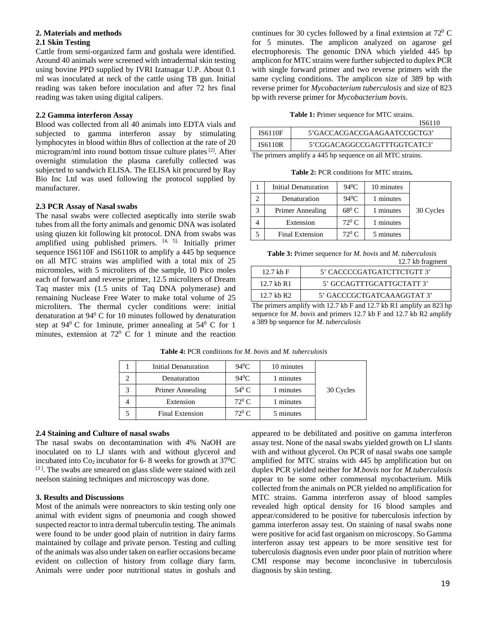### **2. Materials and methods 2.1 Skin Testing**

Cattle from semi-organized farm and goshala were identified. Around 40 animals were screened with intradermal skin testing using bovine PPD supplied by IVRI Izatnagar U.P. About 0.1 ml was inoculated at neck of the cattle using TB gun. Initial reading was taken before inoculation and after 72 hrs final reading was taken using digital calipers.

## **2.2 Gamma interferon Assay**

Blood was collected from all 40 animals into EDTA vials and subjected to gamma interferon assay by stimulating lymphocytes in blood within 8hrs of collection at the rate of 20 microgram/ml into round bottom tissue culture plates [2]. After overnight stimulation the plasma carefully collected was subjected to sandwich ELISA. The ELISA kit procured by Ray Bio Inc Ltd was used following the protocol supplied by manufacturer.

## **2.3 PCR Assay of Nasal swabs**

The nasal swabs were collected aseptically into sterile swab tubes from all the forty animals and genomic DNA was isolated using qiuzen kit following kit protocol. DNA from swabs was amplified using published primers. [4, 5]. Initially primer sequence IS6110F and IS6110R to amplify a 445 bp sequence on all MTC strains was amplified with a total mix of 25 micromoles, with 5 microliters of the sample, 10 Pico moles each of forward and reverse primer, 12.5 microliters of Dream Taq master mix (1.5 units of Taq DNA polymerase) and remaining Nuclease Free Water to make total volume of 25 microliters. The thermal cycler conditions were: initial denaturation at 94<sup>0</sup> C for 10 minutes followed by denaturation step at  $94^{\circ}$  C for 1 minute, primer annealing at  $54^{\circ}$  C for 1 minutes, extension at  $72^{\circ}$  C for 1 minute and the reaction

continues for 30 cycles followed by a final extension at  $72^{\circ}$  C for 5 minutes. The amplicon analyzed on agarose gel electrophoresis. The genomic DNA which yielded 445 bp amplicon for MTC strains were further subjected to duplex PCR with single forward primer and two reverse primers with the same cycling conditions. The amplicon size of 389 bp with reverse primer for *Mycobacterium tuberculosis* and size of 823 bp with reverse primer for *Mycobacterium bovis*.

#### **Table 1:** Primer sequence for MTC strains.

 $\overline{1}$  $\overline{0}$   $\overline{1}$  $\overline{1}$ 

|                                                           |                | 1201 I.O                    |  |  |
|-----------------------------------------------------------|----------------|-----------------------------|--|--|
|                                                           | <b>IS6110F</b> | 5'GACCACGACCGAAGAATCCGCTG3' |  |  |
|                                                           | <b>IS6110R</b> | 5'CGGACAGGCCGAGTTTGGTCATC3' |  |  |
| The primers amplify a 445 bp sequence on all MTC strains. |                |                             |  |  |

| <b>Table 2: PCR conditions for MTC strains.</b> |
|-------------------------------------------------|
|-------------------------------------------------|

| Initial Denaturation   | $94^0C$        | 10 minutes |           |
|------------------------|----------------|------------|-----------|
| Denaturation           | $94^0C$        | 1 minutes  |           |
| Primer Annealing       | $68^{\circ}$ C | 1 minutes  | 30 Cycles |
| Extension              | $72^0$ C.      | 1 minutes  |           |
| <b>Final Extension</b> | $72^0$ C       | 5 minutes  |           |

| <b>Table 3:</b> Primer sequence for <i>M. bovis</i> and <i>M. tuberculosis</i> |  |
|--------------------------------------------------------------------------------|--|
| 12.7 kb fragment                                                               |  |

| $12.7$ kb F  | 5' CACCCCGATGATCTTCTGTT 3' |  |  |
|--------------|----------------------------|--|--|
| 12.7 kb $R1$ | 5' GCCAGTTTGCATTGCTATT 3'  |  |  |
| $12.7$ kb R2 | 5' GACCCGCTGATCAAAGGTAT 3' |  |  |

The primers amplify with 12.7 kb F and 12.7 kb R1 amplify an 823 bp sequence for *M. bovis* and primers 12.7 kb F and 12.7 kb R2 amplify a 389 bp sequence for *M. tuberculosis*

| Initial Denaturation   | $94^0C$        | 10 minutes |           |
|------------------------|----------------|------------|-----------|
| Denaturation           | $94^0C$        | 1 minutes  |           |
| Primer Annealing       | $54^{\circ}$ C | 1 minutes  | 30 Cycles |
| Extension              | $72^0$ C       | 1 minutes  |           |
| <b>Final Extension</b> | $72^0$ C       | 5 minutes  |           |

**Table 4:** PCR conditions for *M. bovis* and *M. tuberculosis*

## **2.4 Staining and Culture of nasal swabs**

The nasal swabs on decontamination with 4% NaOH are inoculated on to LJ slants with and without glycerol and incubated into  $Co<sub>2</sub>$  incubator for 6-8 weeks for growth at 37<sup>o</sup>C  $[3]$ . The swabs are smeared on glass slide were stained with zeil neelson staining techniques and microscopy was done.

## **3. Results and Discussions**

Most of the animals were nonreactors to skin testing only one animal with evident signs of pneumonia and cough showed suspected reactor to intra dermal tuberculin testing. The animals were found to be under good plain of nutrition in dairy farms maintained by collage and private person. Testing and culling of the animals was also under taken on earlier occasions became evident on collection of history from collage diary farm. Animals were under poor nutritional status in goshals and

appeared to be debilitated and positive on gamma interferon assay test. None of the nasal swabs yielded growth on LJ slants with and without glycerol. On PCR of nasal swabs one sample amplified for MTC strains with 445 bp amplification but on duplex PCR yielded neither for *M.bovis* nor for *M.tuberculosis* appear to be some other commensal mycobacterium. Milk collected from the animals on PCR yielded no amplification for MTC strains. Gamma interferon assay of blood samples revealed high optical density for 16 blood samples and appear/considered to be positive for tuberculosis infection by gamma interferon assay test. On staining of nasal swabs none were positive for acid fast organism on microscopy. So Gamma interferon assay test appears to be more sensitive test for tuberculosis diagnosis even under poor plain of nutrition where CMI response may become inconclusive in tuberculosis diagnosis by skin testing.